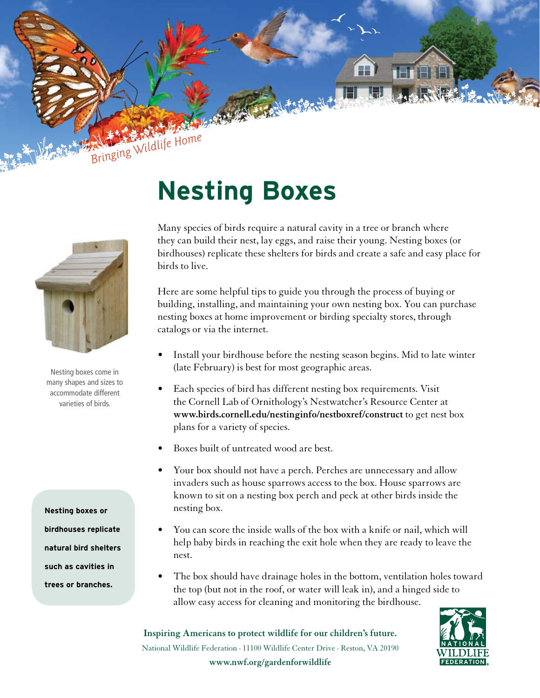

Nesting boxes come in many shapes and sizes to accommodate different varieties of birds.

**Nesting boxes or birdhouses replicate natural bird shelters such as cavities in trees or branches.**

## **Nesting Boxes**

Many species of birds require a natural cavity in a tree or branch where they can build their nest, lay eggs, and raise their young. Nesting boxes (or birdhouses) replicate these shelters for birds and create a safe and easy place for birds to live.

Here are some helpful tips to guide you through the process of buying or building, installing, and maintaining your own nesting box. You can purchase nesting boxes at home improvement or birding specialty stores, through catalogs or via the internet.

- Install your birdhouse before the nesting season begins. Mid to late winter (late February) is best for most geographic areas.
- Each species of bird has different nesting box requirements. Visit the Cornell Lab of Ornithology's Nestwatcher's Resource Center at **www.birds.cornell.edu/nestinginfo/nestboxref/construct** to get nest box plans for a variety of species.
- Boxes built of untreated wood are best.
- Your box should not have a perch. Perches are unnecessary and allow invaders such as house sparrows access to the box. House sparrows are known to sit on a nesting box perch and peck at other birds inside the nesting box.
- You can score the inside walls of the box with a knife or nail, which will help baby birds in reaching the exit hole when they are ready to leave the nest.
- The box should have drainage holes in the bottom, ventilation holes toward the top (but not in the roof, or water will leak in), and a hinged side to allow easy access for cleaning and monitoring the birdhouse.

**Inspiring Americans to protect wildlife for our children's future.** National Wildlife Federation · 11100 Wildlife Center Drive · Reston, VA 20190 **www.nwf.org/gardenforwildlife**